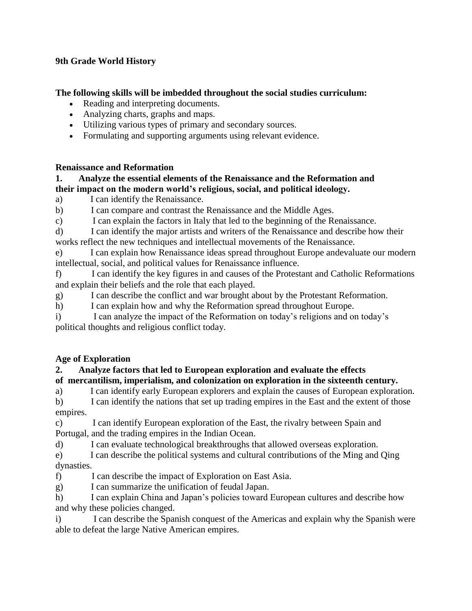## **9th Grade World History**

#### **The following skills will be imbedded throughout the social studies curriculum:**

- Reading and interpreting documents.
- Analyzing charts, graphs and maps.
- Utilizing various types of primary and secondary sources.
- Formulating and supporting arguments using relevant evidence.

#### **Renaissance and Reformation**

#### **1. Analyze the essential elements of the Renaissance and the Reformation and their impact on the modern world's religious, social, and political ideology.**

a) I can identify the Renaissance.

b) I can compare and contrast the Renaissance and the Middle Ages.

c) I can explain the factors in Italy that led to the beginning of the Renaissance.

d) I can identify the major artists and writers of the Renaissance and describe how their works reflect the new techniques and intellectual movements of the Renaissance.

e) I can explain how Renaissance ideas spread throughout Europe andevaluate our modern intellectual, social, and political values for Renaissance influence.

f) I can identify the key figures in and causes of the Protestant and Catholic Reformations and explain their beliefs and the role that each played.

g) I can describe the conflict and war brought about by the Protestant Reformation.

h) I can explain how and why the Reformation spread throughout Europe.

i) I can analyze the impact of the Reformation on today's religions and on today's political thoughts and religious conflict today.

# **Age of Exploration**

#### **2. Analyze factors that led to European exploration and evaluate the effects of mercantilism, imperialism, and colonization on exploration in the sixteenth century.**

a) I can identify early European explorers and explain the causes of European exploration. b) I can identify the nations that set up trading empires in the East and the extent of those

empires.

c) I can identify European exploration of the East, the rivalry between Spain and Portugal, and the trading empires in the Indian Ocean.

d) I can evaluate technological breakthroughs that allowed overseas exploration.

e) I can describe the political systems and cultural contributions of the Ming and Qing dynasties.

f) I can describe the impact of Exploration on East Asia.

g) I can summarize the unification of feudal Japan.

h) I can explain China and Japan's policies toward European cultures and describe how and why these policies changed.

i) I can describe the Spanish conquest of the Americas and explain why the Spanish were able to defeat the large Native American empires.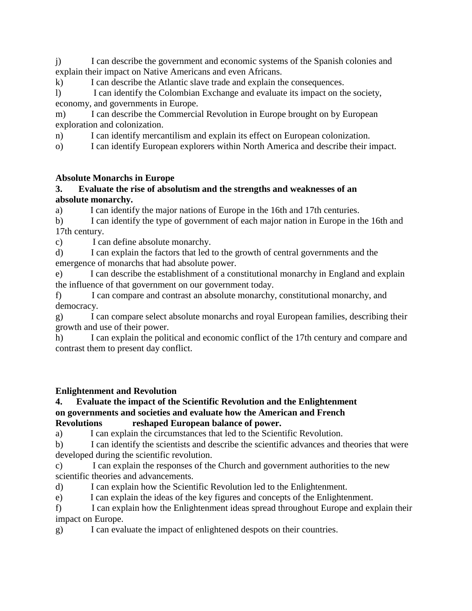j) I can describe the government and economic systems of the Spanish colonies and explain their impact on Native Americans and even Africans.

k) I can describe the Atlantic slave trade and explain the consequences.

l) I can identify the Colombian Exchange and evaluate its impact on the society, economy, and governments in Europe.

m) I can describe the Commercial Revolution in Europe brought on by European exploration and colonization.

n) I can identify mercantilism and explain its effect on European colonization.

o) I can identify European explorers within North America and describe their impact.

# **Absolute Monarchs in Europe**

#### **3. Evaluate the rise of absolutism and the strengths and weaknesses of an absolute monarchy.**

a) I can identify the major nations of Europe in the 16th and 17th centuries.

b) I can identify the type of government of each major nation in Europe in the 16th and 17th century.

c) I can define absolute monarchy.

d) I can explain the factors that led to the growth of central governments and the emergence of monarchs that had absolute power.

e) I can describe the establishment of a constitutional monarchy in England and explain the influence of that government on our government today.

f) I can compare and contrast an absolute monarchy, constitutional monarchy, and democracy.

g) I can compare select absolute monarchs and royal European families, describing their growth and use of their power.

h) I can explain the political and economic conflict of the 17th century and compare and contrast them to present day conflict.

# **Enlightenment and Revolution**

#### **4. Evaluate the impact of the Scientific Revolution and the Enlightenment on governments and societies and evaluate how the American and French Revolutions reshaped European balance of power.**

a) I can explain the circumstances that led to the Scientific Revolution.

b) I can identify the scientists and describe the scientific advances and theories that were developed during the scientific revolution.

c) I can explain the responses of the Church and government authorities to the new scientific theories and advancements.

d) I can explain how the Scientific Revolution led to the Enlightenment.

e) I can explain the ideas of the key figures and concepts of the Enlightenment.

f) I can explain how the Enlightenment ideas spread throughout Europe and explain their impact on Europe.

g) I can evaluate the impact of enlightened despots on their countries.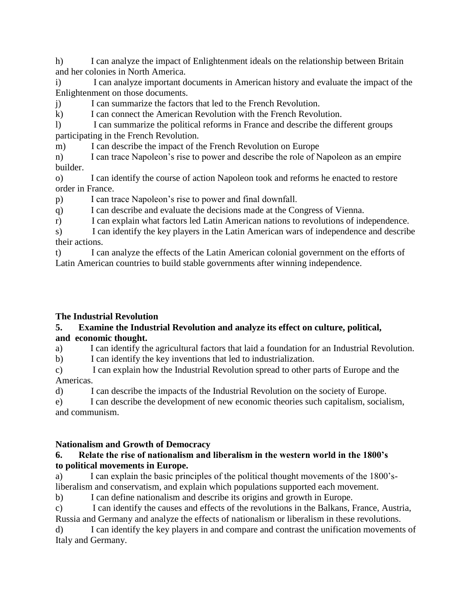h) I can analyze the impact of Enlightenment ideals on the relationship between Britain and her colonies in North America.

i) I can analyze important documents in American history and evaluate the impact of the Enlightenment on those documents.

j) I can summarize the factors that led to the French Revolution.

k) I can connect the American Revolution with the French Revolution.

l) I can summarize the political reforms in France and describe the different groups participating in the French Revolution.

m) I can describe the impact of the French Revolution on Europe

n) I can trace Napoleon's rise to power and describe the role of Napoleon as an empire builder.

o) I can identify the course of action Napoleon took and reforms he enacted to restore order in France.

p) I can trace Napoleon's rise to power and final downfall.

q) I can describe and evaluate the decisions made at the Congress of Vienna.

r) I can explain what factors led Latin American nations to revolutions of independence.

s) I can identify the key players in the Latin American wars of independence and describe their actions.

t) I can analyze the effects of the Latin American colonial government on the efforts of Latin American countries to build stable governments after winning independence.

# **The Industrial Revolution**

# **5. Examine the Industrial Revolution and analyze its effect on culture, political, and economic thought.**

a) I can identify the agricultural factors that laid a foundation for an Industrial Revolution.

b) I can identify the key inventions that led to industrialization.

c) I can explain how the Industrial Revolution spread to other parts of Europe and the Americas.

d) I can describe the impacts of the Industrial Revolution on the society of Europe.

e) I can describe the development of new economic theories such capitalism, socialism, and communism.

# **Nationalism and Growth of Democracy**

## **6. Relate the rise of nationalism and liberalism in the western world in the 1800's to political movements in Europe.**

a) I can explain the basic principles of the political thought movements of the 1800'sliberalism and conservatism, and explain which populations supported each movement.

b) I can define nationalism and describe its origins and growth in Europe.

c) I can identify the causes and effects of the revolutions in the Balkans, France, Austria, Russia and Germany and analyze the effects of nationalism or liberalism in these revolutions.

d) I can identify the key players in and compare and contrast the unification movements of Italy and Germany.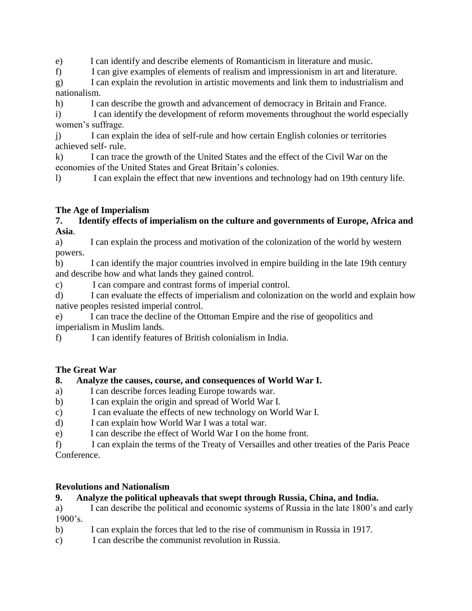e) I can identify and describe elements of Romanticism in literature and music.

f) I can give examples of elements of realism and impressionism in art and literature.

g) I can explain the revolution in artistic movements and link them to industrialism and nationalism.

h) I can describe the growth and advancement of democracy in Britain and France.

i) I can identify the development of reform movements throughout the world especially women's suffrage.

j) I can explain the idea of self-rule and how certain English colonies or territories achieved self- rule.

k) I can trace the growth of the United States and the effect of the Civil War on the economies of the United States and Great Britain's colonies.

l) I can explain the effect that new inventions and technology had on 19th century life.

# **The Age of Imperialism**

#### **7. Identify effects of imperialism on the culture and governments of Europe, Africa and Asia**.

a) I can explain the process and motivation of the colonization of the world by western powers.

b) I can identify the major countries involved in empire building in the late 19th century and describe how and what lands they gained control.

c) I can compare and contrast forms of imperial control.

d) I can evaluate the effects of imperialism and colonization on the world and explain how native peoples resisted imperial control.

e) I can trace the decline of the Ottoman Empire and the rise of geopolitics and imperialism in Muslim lands.

f) I can identify features of British colonialism in India.

# **The Great War**

# **8. Analyze the causes, course, and consequences of World War I.**

- a) I can describe forces leading Europe towards war.
- b) I can explain the origin and spread of World War I.
- c) I can evaluate the effects of new technology on World War I.
- d) I can explain how World War I was a total war.
- e) I can describe the effect of World War I on the home front.

f) I can explain the terms of the Treaty of Versailles and other treaties of the Paris Peace Conference.

# **Revolutions and Nationalism**

# **9. Analyze the political upheavals that swept through Russia, China, and India.**

a) I can describe the political and economic systems of Russia in the late 1800's and early 1900's.

- b) I can explain the forces that led to the rise of communism in Russia in 1917.
- c) I can describe the communist revolution in Russia.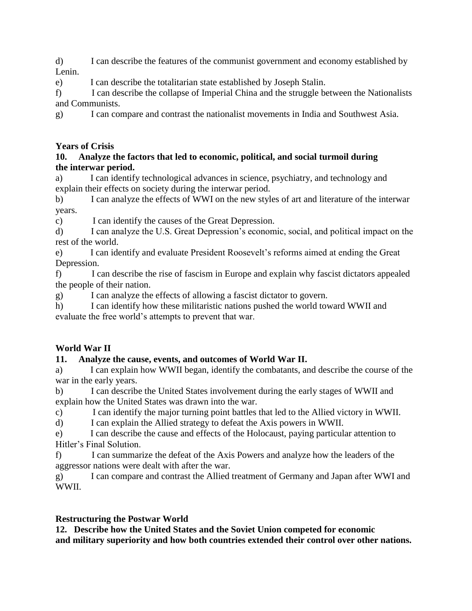d) I can describe the features of the communist government and economy established by Lenin.

e) I can describe the totalitarian state established by Joseph Stalin.

f) I can describe the collapse of Imperial China and the struggle between the Nationalists and Communists.

g) I can compare and contrast the nationalist movements in India and Southwest Asia.

# **Years of Crisis**

#### **10. Analyze the factors that led to economic, political, and social turmoil during the interwar period.**

a) I can identify technological advances in science, psychiatry, and technology and explain their effects on society during the interwar period.

b) I can analyze the effects of WWI on the new styles of art and literature of the interwar years.

c) I can identify the causes of the Great Depression.

d) I can analyze the U.S. Great Depression's economic, social, and political impact on the rest of the world.

e) I can identify and evaluate President Roosevelt's reforms aimed at ending the Great Depression.

f) I can describe the rise of fascism in Europe and explain why fascist dictators appealed the people of their nation.

g) I can analyze the effects of allowing a fascist dictator to govern.

h) I can identify how these militaristic nations pushed the world toward WWII and evaluate the free world's attempts to prevent that war.

# **World War II**

# **11. Analyze the cause, events, and outcomes of World War II.**

a) I can explain how WWII began, identify the combatants, and describe the course of the war in the early years.

b) I can describe the United States involvement during the early stages of WWII and explain how the United States was drawn into the war.

c) I can identify the major turning point battles that led to the Allied victory in WWII.

d) I can explain the Allied strategy to defeat the Axis powers in WWII.

e) I can describe the cause and effects of the Holocaust, paying particular attention to Hitler's Final Solution.

f) I can summarize the defeat of the Axis Powers and analyze how the leaders of the aggressor nations were dealt with after the war.

g) I can compare and contrast the Allied treatment of Germany and Japan after WWI and WWII.

# **Restructuring the Postwar World**

**12. Describe how the United States and the Soviet Union competed for economic and military superiority and how both countries extended their control over other nations.**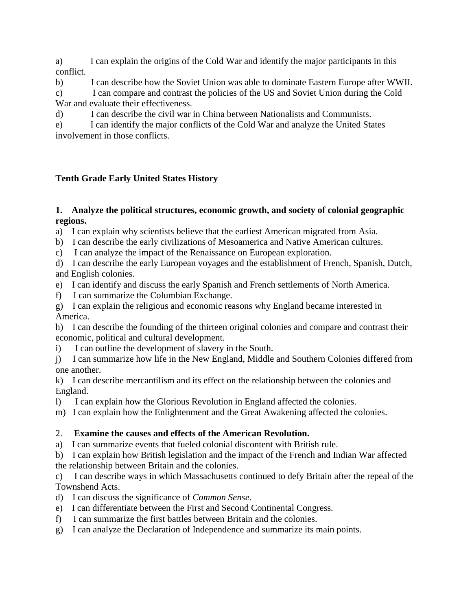a) I can explain the origins of the Cold War and identify the major participants in this conflict.

b) I can describe how the Soviet Union was able to dominate Eastern Europe after WWII. c) I can compare and contrast the policies of the US and Soviet Union during the Cold War and evaluate their effectiveness.

d) I can describe the civil war in China between Nationalists and Communists.

e) I can identify the major conflicts of the Cold War and analyze the United States involvement in those conflicts.

# **Tenth Grade Early United States History**

## **1. Analyze the political structures, economic growth, and society of colonial geographic regions.**

a) I can explain why scientists believe that the earliest American migrated from Asia.

b) I can describe the early civilizations of Mesoamerica and Native American cultures.

c) I can analyze the impact of the Renaissance on European exploration.

d) I can describe the early European voyages and the establishment of French, Spanish, Dutch, and English colonies.

- e) I can identify and discuss the early Spanish and French settlements of North America.
- f) I can summarize the Columbian Exchange.

g) I can explain the religious and economic reasons why England became interested in America.

h) I can describe the founding of the thirteen original colonies and compare and contrast their economic, political and cultural development.

i) I can outline the development of slavery in the South.

j) I can summarize how life in the New England, Middle and Southern Colonies differed from one another.

k) I can describe mercantilism and its effect on the relationship between the colonies and England.

l) I can explain how the Glorious Revolution in England affected the colonies.

m) I can explain how the Enlightenment and the Great Awakening affected the colonies.

# 2. **Examine the causes and effects of the American Revolution.**

a) I can summarize events that fueled colonial discontent with British rule.

b) I can explain how British legislation and the impact of the French and Indian War affected the relationship between Britain and the colonies.

c) I can describe ways in which Massachusetts continued to defy Britain after the repeal of the Townshend Acts.

d) I can discuss the significance of *Common Sense*.

- e) I can differentiate between the First and Second Continental Congress.
- f) I can summarize the first battles between Britain and the colonies.
- g) I can analyze the Declaration of Independence and summarize its main points.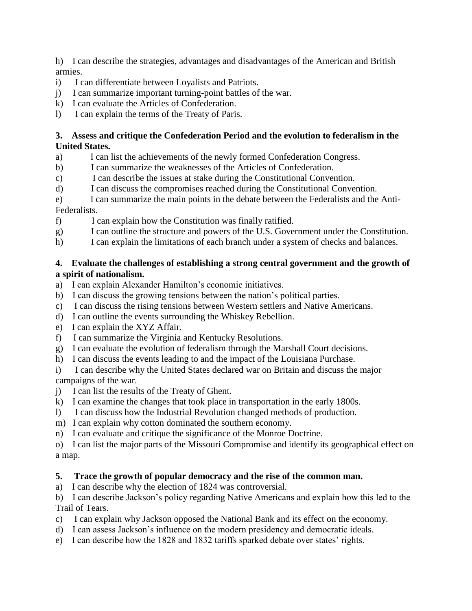h) I can describe the strategies, advantages and disadvantages of the American and British armies.

- i) I can differentiate between Loyalists and Patriots.
- j) I can summarize important turning-point battles of the war.
- k) I can evaluate the Articles of Confederation.
- l) I can explain the terms of the Treaty of Paris.

#### **3. Assess and critique the Confederation Period and the evolution to federalism in the United States.**

- a) I can list the achievements of the newly formed Confederation Congress.
- b) I can summarize the weaknesses of the Articles of Confederation.
- c) I can describe the issues at stake during the Constitutional Convention.
- d) I can discuss the compromises reached during the Constitutional Convention.
- e) I can summarize the main points in the debate between the Federalists and the Anti-Federalists.
- f) I can explain how the Constitution was finally ratified.
- g) I can outline the structure and powers of the U.S. Government under the Constitution.
- h) I can explain the limitations of each branch under a system of checks and balances.

#### **4. Evaluate the challenges of establishing a strong central government and the growth of a spirit of nationalism.**

- a) I can explain Alexander Hamilton's economic initiatives.
- b) I can discuss the growing tensions between the nation's political parties.
- c) I can discuss the rising tensions between Western settlers and Native Americans.
- d) I can outline the events surrounding the Whiskey Rebellion.
- e) I can explain the XYZ Affair.
- f) I can summarize the Virginia and Kentucky Resolutions.
- g) I can evaluate the evolution of federalism through the Marshall Court decisions.
- h) I can discuss the events leading to and the impact of the Louisiana Purchase.
- i) I can describe why the United States declared war on Britain and discuss the major campaigns of the war.
- j) I can list the results of the Treaty of Ghent.
- k) I can examine the changes that took place in transportation in the early 1800s.
- l) I can discuss how the Industrial Revolution changed methods of production.
- m) I can explain why cotton dominated the southern economy.
- n) I can evaluate and critique the significance of the Monroe Doctrine.
- o) I can list the major parts of the Missouri Compromise and identify its geographical effect on a map.

# **5. Trace the growth of popular democracy and the rise of the common man.**

a) I can describe why the election of 1824 was controversial.

b) I can describe Jackson's policy regarding Native Americans and explain how this led to the Trail of Tears.

- c) I can explain why Jackson opposed the National Bank and its effect on the economy.
- d) I can assess Jackson's influence on the modern presidency and democratic ideals.
- e) I can describe how the 1828 and 1832 tariffs sparked debate over states' rights.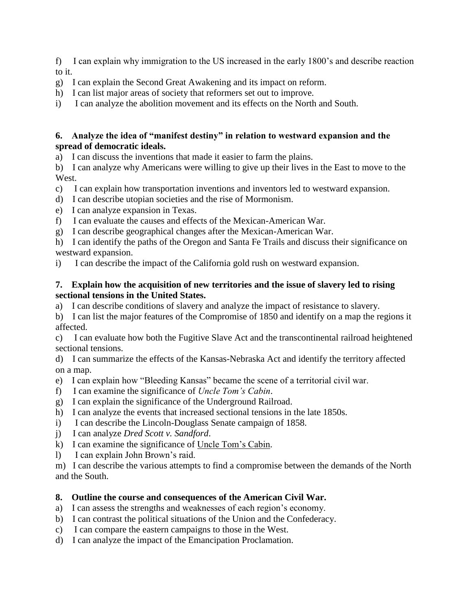f) I can explain why immigration to the US increased in the early 1800's and describe reaction to it.

- g) I can explain the Second Great Awakening and its impact on reform.
- h) I can list major areas of society that reformers set out to improve.
- i) I can analyze the abolition movement and its effects on the North and South.

#### **6. Analyze the idea of "manifest destiny" in relation to westward expansion and the spread of democratic ideals.**

a) I can discuss the inventions that made it easier to farm the plains.

b) I can analyze why Americans were willing to give up their lives in the East to move to the West.

- c) I can explain how transportation inventions and inventors led to westward expansion.
- d) I can describe utopian societies and the rise of Mormonism.
- e) I can analyze expansion in Texas.
- f) I can evaluate the causes and effects of the Mexican-American War.
- g) I can describe geographical changes after the Mexican-American War.
- h) I can identify the paths of the Oregon and Santa Fe Trails and discuss their significance on westward expansion.
- i) I can describe the impact of the California gold rush on westward expansion.

#### **7. Explain how the acquisition of new territories and the issue of slavery led to rising sectional tensions in the United States.**

a) I can describe conditions of slavery and analyze the impact of resistance to slavery.

b) I can list the major features of the Compromise of 1850 and identify on a map the regions it affected.

c) I can evaluate how both the Fugitive Slave Act and the transcontinental railroad heightened sectional tensions.

d) I can summarize the effects of the Kansas-Nebraska Act and identify the territory affected on a map.

- e) I can explain how "Bleeding Kansas" became the scene of a territorial civil war.
- f) I can examine the significance of *Uncle Tom's Cabin*.
- g) I can explain the significance of the Underground Railroad.
- h) I can analyze the events that increased sectional tensions in the late 1850s.
- i) I can describe the Lincoln-Douglass Senate campaign of 1858.
- j) I can analyze *Dred Scott v. Sandford*.
- k) I can examine the significance of Uncle Tom's Cabin.
- l) I can explain John Brown's raid.

m) I can describe the various attempts to find a compromise between the demands of the North and the South.

#### **8. Outline the course and consequences of the American Civil War.**

- a) I can assess the strengths and weaknesses of each region's economy.
- b) I can contrast the political situations of the Union and the Confederacy.
- c) I can compare the eastern campaigns to those in the West.
- d) I can analyze the impact of the Emancipation Proclamation.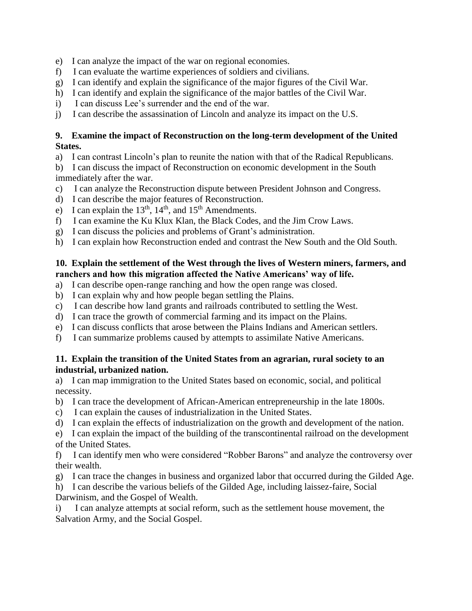- e) I can analyze the impact of the war on regional economies.
- f) I can evaluate the wartime experiences of soldiers and civilians.
- g) I can identify and explain the significance of the major figures of the Civil War.
- h) I can identify and explain the significance of the major battles of the Civil War.
- i) I can discuss Lee's surrender and the end of the war.
- j) I can describe the assassination of Lincoln and analyze its impact on the U.S.

#### **9. Examine the impact of Reconstruction on the long-term development of the United States.**

a) I can contrast Lincoln's plan to reunite the nation with that of the Radical Republicans.

b) I can discuss the impact of Reconstruction on economic development in the South immediately after the war.

- c) I can analyze the Reconstruction dispute between President Johnson and Congress.
- d) I can describe the major features of Reconstruction.
- e) I can explain the  $13<sup>th</sup>$ ,  $14<sup>th</sup>$ , and  $15<sup>th</sup>$  Amendments.
- f) I can examine the Ku Klux Klan, the Black Codes, and the Jim Crow Laws.
- g) I can discuss the policies and problems of Grant's administration.
- h) I can explain how Reconstruction ended and contrast the New South and the Old South.

#### **10. Explain the settlement of the West through the lives of Western miners, farmers, and ranchers and how this migration affected the Native Americans' way of life.**

- a) I can describe open-range ranching and how the open range was closed.
- b) I can explain why and how people began settling the Plains.
- c) I can describe how land grants and railroads contributed to settling the West.
- d) I can trace the growth of commercial farming and its impact on the Plains.
- e) I can discuss conflicts that arose between the Plains Indians and American settlers.
- f) I can summarize problems caused by attempts to assimilate Native Americans.

#### **11. Explain the transition of the United States from an agrarian, rural society to an industrial, urbanized nation.**

a) I can map immigration to the United States based on economic, social, and political necessity.

- b) I can trace the development of African-American entrepreneurship in the late 1800s.
- c) I can explain the causes of industrialization in the United States.
- d) I can explain the effects of industrialization on the growth and development of the nation.

e) I can explain the impact of the building of the transcontinental railroad on the development of the United States.

f) I can identify men who were considered "Robber Barons" and analyze the controversy over their wealth.

g) I can trace the changes in business and organized labor that occurred during the Gilded Age.

h) I can describe the various beliefs of the Gilded Age, including laissez-faire, Social Darwinism, and the Gospel of Wealth.

i) I can analyze attempts at social reform, such as the settlement house movement, the Salvation Army, and the Social Gospel.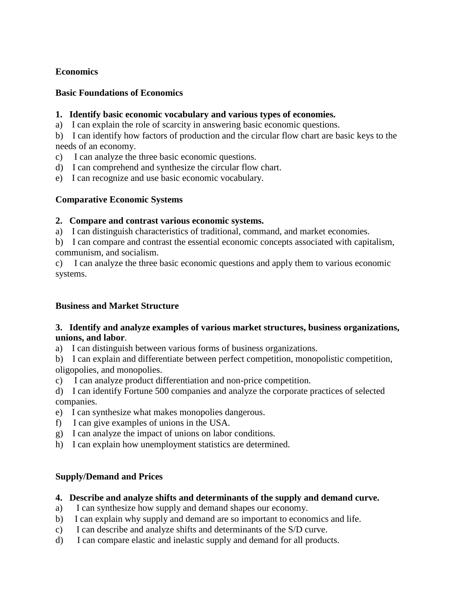#### **Economics**

#### **Basic Foundations of Economics**

#### **1. Identify basic economic vocabulary and various types of economies.**

a) I can explain the role of scarcity in answering basic economic questions.

b) I can identify how factors of production and the circular flow chart are basic keys to the needs of an economy.

- c) I can analyze the three basic economic questions.
- d) I can comprehend and synthesize the circular flow chart.
- e) I can recognize and use basic economic vocabulary.

# **Comparative Economic Systems**

## **2. Compare and contrast various economic systems.**

- a) I can distinguish characteristics of traditional, command, and market economies.
- b) I can compare and contrast the essential economic concepts associated with capitalism, communism, and socialism.

c) I can analyze the three basic economic questions and apply them to various economic systems.

#### **Business and Market Structure**

#### **3. Identify and analyze examples of various market structures, business organizations, unions, and labor**.

a) I can distinguish between various forms of business organizations.

b) I can explain and differentiate between perfect competition, monopolistic competition, oligopolies, and monopolies.

c) I can analyze product differentiation and non-price competition.

d) I can identify Fortune 500 companies and analyze the corporate practices of selected companies.

- e) I can synthesize what makes monopolies dangerous.
- f) I can give examples of unions in the USA.
- g) I can analyze the impact of unions on labor conditions.
- h) I can explain how unemployment statistics are determined.

#### **Supply/Demand and Prices**

#### **4. Describe and analyze shifts and determinants of the supply and demand curve.**

- a) I can synthesize how supply and demand shapes our economy.
- b) I can explain why supply and demand are so important to economics and life.
- c) I can describe and analyze shifts and determinants of the S/D curve.
- d) I can compare elastic and inelastic supply and demand for all products.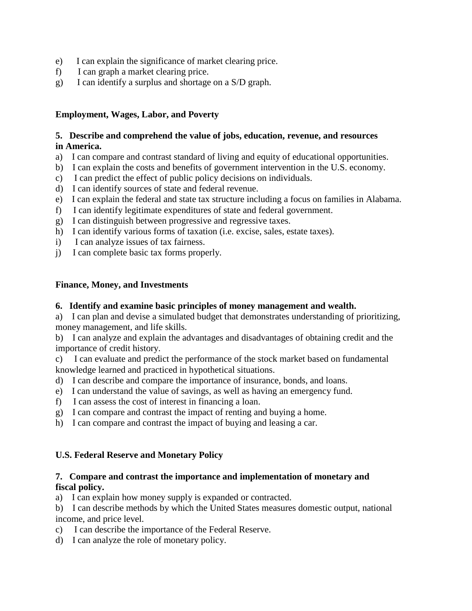- e) I can explain the significance of market clearing price.
- f) I can graph a market clearing price.
- g) I can identify a surplus and shortage on a S/D graph.

#### **Employment, Wages, Labor, and Poverty**

#### **5. Describe and comprehend the value of jobs, education, revenue, and resources in America.**

- a) I can compare and contrast standard of living and equity of educational opportunities.
- b) I can explain the costs and benefits of government intervention in the U.S. economy.
- c) I can predict the effect of public policy decisions on individuals.
- d) I can identify sources of state and federal revenue.
- e) I can explain the federal and state tax structure including a focus on families in Alabama.
- f) I can identify legitimate expenditures of state and federal government.
- g) I can distinguish between progressive and regressive taxes.
- h) I can identify various forms of taxation (i.e. excise, sales, estate taxes).
- i) I can analyze issues of tax fairness.
- j) I can complete basic tax forms properly.

#### **Finance, Money, and Investments**

#### **6. Identify and examine basic principles of money management and wealth.**

a) I can plan and devise a simulated budget that demonstrates understanding of prioritizing, money management, and life skills.

b) I can analyze and explain the advantages and disadvantages of obtaining credit and the importance of credit history.

c) I can evaluate and predict the performance of the stock market based on fundamental knowledge learned and practiced in hypothetical situations.

- d) I can describe and compare the importance of insurance, bonds, and loans.
- e) I can understand the value of savings, as well as having an emergency fund.
- f) I can assess the cost of interest in financing a loan.
- g) I can compare and contrast the impact of renting and buying a home.
- h) I can compare and contrast the impact of buying and leasing a car.

#### **U.S. Federal Reserve and Monetary Policy**

#### **7. Compare and contrast the importance and implementation of monetary and fiscal policy.**

a) I can explain how money supply is expanded or contracted.

b) I can describe methods by which the United States measures domestic output, national income, and price level.

- c) I can describe the importance of the Federal Reserve.
- d) I can analyze the role of monetary policy.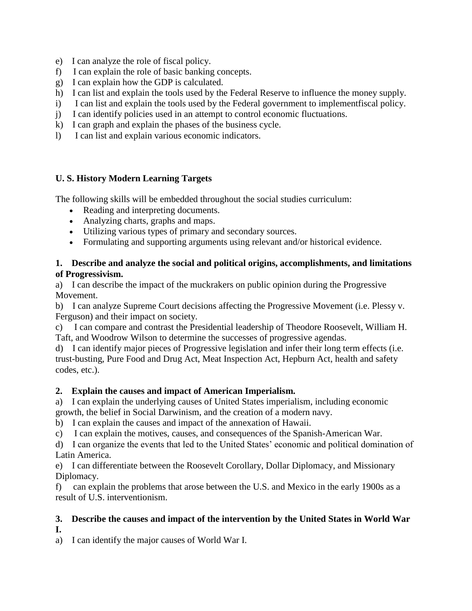- e) I can analyze the role of fiscal policy.
- f) I can explain the role of basic banking concepts.
- g) I can explain how the GDP is calculated.
- h) I can list and explain the tools used by the Federal Reserve to influence the money supply.
- i) I can list and explain the tools used by the Federal government to implementfiscal policy.
- j) I can identify policies used in an attempt to control economic fluctuations.
- k) I can graph and explain the phases of the business cycle.
- l) I can list and explain various economic indicators.

# **U. S. History Modern Learning Targets**

The following skills will be embedded throughout the social studies curriculum:

- Reading and interpreting documents.
- Analyzing charts, graphs and maps.
- Utilizing various types of primary and secondary sources.
- Formulating and supporting arguments using relevant and/or historical evidence.

## **1. Describe and analyze the social and political origins, accomplishments, and limitations of Progressivism.**

a) I can describe the impact of the muckrakers on public opinion during the Progressive Movement.

b) I can analyze Supreme Court decisions affecting the Progressive Movement (i.e. Plessy v. Ferguson) and their impact on society.

c) I can compare and contrast the Presidential leadership of Theodore Roosevelt, William H. Taft, and Woodrow Wilson to determine the successes of progressive agendas.

d) I can identify major pieces of Progressive legislation and infer their long term effects (i.e. trust-busting, Pure Food and Drug Act, Meat Inspection Act, Hepburn Act, health and safety codes, etc.).

# **2. Explain the causes and impact of American Imperialism.**

a) I can explain the underlying causes of United States imperialism, including economic growth, the belief in Social Darwinism, and the creation of a modern navy.

b) I can explain the causes and impact of the annexation of Hawaii.

c) I can explain the motives, causes, and consequences of the Spanish-American War.

d) I can organize the events that led to the United States' economic and political domination of Latin America.

e) I can differentiate between the Roosevelt Corollary, Dollar Diplomacy, and Missionary Diplomacy.

f) can explain the problems that arose between the U.S. and Mexico in the early 1900s as a result of U.S. interventionism.

# **3. Describe the causes and impact of the intervention by the United States in World War**

# **I.**

a) I can identify the major causes of World War I.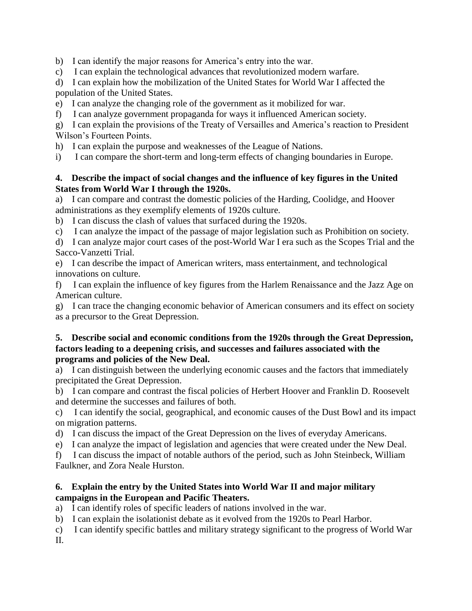b) I can identify the major reasons for America's entry into the war.

c) I can explain the technological advances that revolutionized modern warfare.

d) I can explain how the mobilization of the United States for World War I affected the population of the United States.

e) I can analyze the changing role of the government as it mobilized for war.

f) I can analyze government propaganda for ways it influenced American society.

g) I can explain the provisions of the Treaty of Versailles and America's reaction to President Wilson's Fourteen Points.

h) I can explain the purpose and weaknesses of the League of Nations.

i) I can compare the short-term and long-term effects of changing boundaries in Europe.

#### **4. Describe the impact of social changes and the influence of key figures in the United States from World War I through the 1920s.**

a) I can compare and contrast the domestic policies of the Harding, Coolidge, and Hoover administrations as they exemplify elements of 1920s culture.

b) I can discuss the clash of values that surfaced during the 1920s.

c) I can analyze the impact of the passage of major legislation such as Prohibition on society.

d) I can analyze major court cases of the post-World War I era such as the Scopes Trial and the Sacco-Vanzetti Trial.

e) I can describe the impact of American writers, mass entertainment, and technological innovations on culture.

f) I can explain the influence of key figures from the Harlem Renaissance and the Jazz Age on American culture.

g) I can trace the changing economic behavior of American consumers and its effect on society as a precursor to the Great Depression.

#### **5. Describe social and economic conditions from the 1920s through the Great Depression, factors leading to a deepening crisis, and successes and failures associated with the programs and policies of the New Deal.**

a) I can distinguish between the underlying economic causes and the factors that immediately precipitated the Great Depression.

b) I can compare and contrast the fiscal policies of Herbert Hoover and Franklin D. Roosevelt and determine the successes and failures of both.

c) I can identify the social, geographical, and economic causes of the Dust Bowl and its impact on migration patterns.

d) I can discuss the impact of the Great Depression on the lives of everyday Americans.

e) I can analyze the impact of legislation and agencies that were created under the New Deal.

f) I can discuss the impact of notable authors of the period, such as John Steinbeck, William Faulkner, and Zora Neale Hurston.

# **6. Explain the entry by the United States into World War II and major military campaigns in the European and Pacific Theaters.**

a) I can identify roles of specific leaders of nations involved in the war.

- b) I can explain the isolationist debate as it evolved from the 1920s to Pearl Harbor.
- c) I can identify specific battles and military strategy significant to the progress of World War
- II.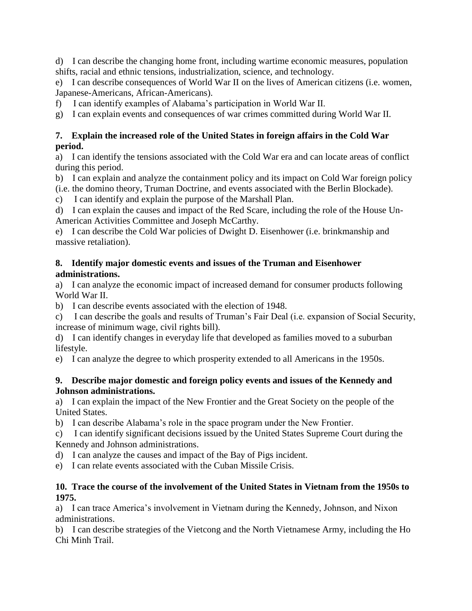d) I can describe the changing home front, including wartime economic measures, population shifts, racial and ethnic tensions, industrialization, science, and technology.

e) I can describe consequences of World War II on the lives of American citizens (i.e. women, Japanese-Americans, African-Americans).

f) I can identify examples of Alabama's participation in World War II.

g) I can explain events and consequences of war crimes committed during World War II.

#### **7. Explain the increased role of the United States in foreign affairs in the Cold War period.**

a) I can identify the tensions associated with the Cold War era and can locate areas of conflict during this period.

b) I can explain and analyze the containment policy and its impact on Cold War foreign policy (i.e. the domino theory, Truman Doctrine, and events associated with the Berlin Blockade).

c) I can identify and explain the purpose of the Marshall Plan.

d) I can explain the causes and impact of the Red Scare, including the role of the House Un-American Activities Committee and Joseph McCarthy.

e) I can describe the Cold War policies of Dwight D. Eisenhower (i.e. brinkmanship and massive retaliation).

#### **8. Identify major domestic events and issues of the Truman and Eisenhower administrations.**

a) I can analyze the economic impact of increased demand for consumer products following World War II.

b) I can describe events associated with the election of 1948.

c) I can describe the goals and results of Truman's Fair Deal (i.e. expansion of Social Security, increase of minimum wage, civil rights bill).

d) I can identify changes in everyday life that developed as families moved to a suburban lifestyle.

e) I can analyze the degree to which prosperity extended to all Americans in the 1950s.

#### **9. Describe major domestic and foreign policy events and issues of the Kennedy and Johnson administrations.**

a) I can explain the impact of the New Frontier and the Great Society on the people of the United States.

b) I can describe Alabama's role in the space program under the New Frontier.

c) I can identify significant decisions issued by the United States Supreme Court during the Kennedy and Johnson administrations.

d) I can analyze the causes and impact of the Bay of Pigs incident.

e) I can relate events associated with the Cuban Missile Crisis.

#### **10. Trace the course of the involvement of the United States in Vietnam from the 1950s to 1975.**

a) I can trace America's involvement in Vietnam during the Kennedy, Johnson, and Nixon administrations.

b) I can describe strategies of the Vietcong and the North Vietnamese Army, including the Ho Chi Minh Trail.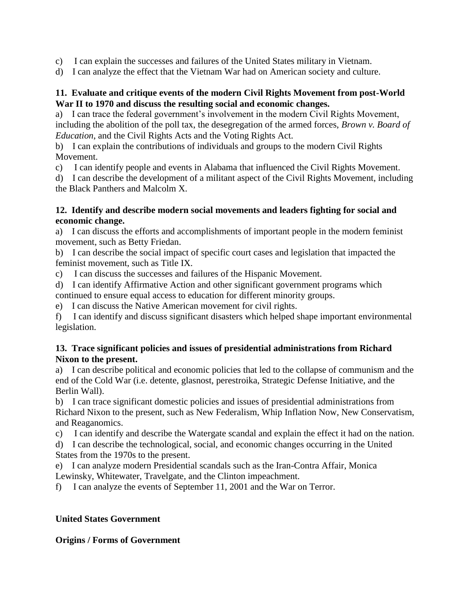- c) I can explain the successes and failures of the United States military in Vietnam.
- d) I can analyze the effect that the Vietnam War had on American society and culture.

#### **11. Evaluate and critique events of the modern Civil Rights Movement from post-World War II to 1970 and discuss the resulting social and economic changes.**

a) I can trace the federal government's involvement in the modern Civil Rights Movement, including the abolition of the poll tax, the desegregation of the armed forces, *Brown v. Board of Education*, and the Civil Rights Acts and the Voting Rights Act.

b) I can explain the contributions of individuals and groups to the modern Civil Rights Movement.

c) I can identify people and events in Alabama that influenced the Civil Rights Movement.

d) I can describe the development of a militant aspect of the Civil Rights Movement, including the Black Panthers and Malcolm X.

#### **12. Identify and describe modern social movements and leaders fighting for social and economic change.**

a) I can discuss the efforts and accomplishments of important people in the modern feminist movement, such as Betty Friedan.

b) I can describe the social impact of specific court cases and legislation that impacted the feminist movement, such as Title IX.

c) I can discuss the successes and failures of the Hispanic Movement.

d) I can identify Affirmative Action and other significant government programs which continued to ensure equal access to education for different minority groups.

e) I can discuss the Native American movement for civil rights.

f) I can identify and discuss significant disasters which helped shape important environmental legislation.

#### **13. Trace significant policies and issues of presidential administrations from Richard Nixon to the present.**

a) I can describe political and economic policies that led to the collapse of communism and the end of the Cold War (i.e. detente, glasnost, perestroika, Strategic Defense Initiative, and the Berlin Wall).

b) I can trace significant domestic policies and issues of presidential administrations from Richard Nixon to the present, such as New Federalism, Whip Inflation Now, New Conservatism, and Reaganomics.

c) I can identify and describe the Watergate scandal and explain the effect it had on the nation.

d) I can describe the technological, social, and economic changes occurring in the United States from the 1970s to the present.

e) I can analyze modern Presidential scandals such as the Iran-Contra Affair, Monica Lewinsky, Whitewater, Travelgate, and the Clinton impeachment.

f) I can analyze the events of September 11, 2001 and the War on Terror.

# **United States Government**

#### **Origins / Forms of Government**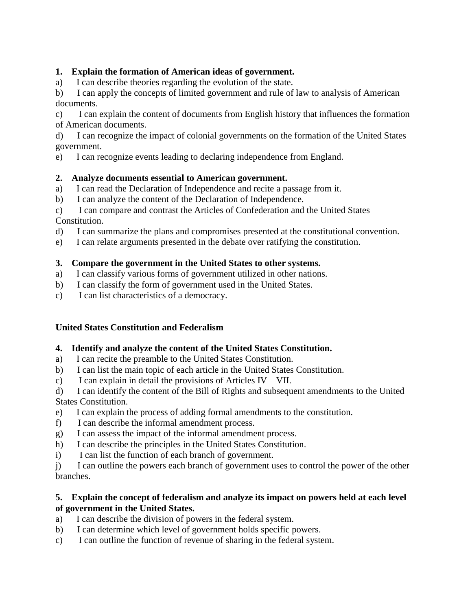# **1. Explain the formation of American ideas of government.**

a) I can describe theories regarding the evolution of the state.

b) I can apply the concepts of limited government and rule of law to analysis of American documents.

c) I can explain the content of documents from English history that influences the formation of American documents.

d) I can recognize the impact of colonial governments on the formation of the United States government.

e) I can recognize events leading to declaring independence from England.

## **2. Analyze documents essential to American government.**

- a) I can read the Declaration of Independence and recite a passage from it.
- b) I can analyze the content of the Declaration of Independence.

c) I can compare and contrast the Articles of Confederation and the United States Constitution.

- d) I can summarize the plans and compromises presented at the constitutional convention.
- e) I can relate arguments presented in the debate over ratifying the constitution.

## **3. Compare the government in the United States to other systems.**

- a) I can classify various forms of government utilized in other nations.
- b) I can classify the form of government used in the United States.
- c) I can list characteristics of a democracy.

#### **United States Constitution and Federalism**

#### **4. Identify and analyze the content of the United States Constitution.**

- a) I can recite the preamble to the United States Constitution.
- b) I can list the main topic of each article in the United States Constitution.
- c) I can explain in detail the provisions of Articles IV VII.

d) I can identify the content of the Bill of Rights and subsequent amendments to the United States Constitution.

- e) I can explain the process of adding formal amendments to the constitution.
- f) I can describe the informal amendment process.
- g) I can assess the impact of the informal amendment process.
- h) I can describe the principles in the United States Constitution.
- i) I can list the function of each branch of government.

j) I can outline the powers each branch of government uses to control the power of the other branches.

#### **5. Explain the concept of federalism and analyze its impact on powers held at each level of government in the United States.**

- a) I can describe the division of powers in the federal system.
- b) I can determine which level of government holds specific powers.
- c) I can outline the function of revenue of sharing in the federal system.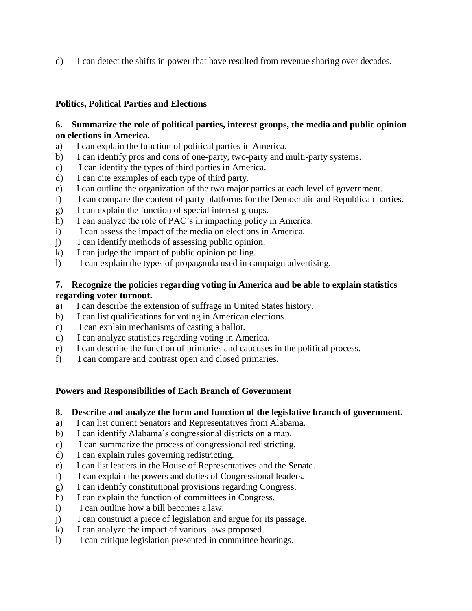d) I can detect the shifts in power that have resulted from revenue sharing over decades.

## **Politics, Political Parties and Elections**

#### **6. Summarize the role of political parties, interest groups, the media and public opinion on elections in America.**

- a) I can explain the function of political parties in America.
- b) I can identify pros and cons of one-party, two-party and multi-party systems.
- c) I can identify the types of third parties in America.
- d) I can cite examples of each type of third party.
- e) I can outline the organization of the two major parties at each level of government.
- f) I can compare the content of party platforms for the Democratic and Republican parties.
- g) I can explain the function of special interest groups.
- h) I can analyze the role of PAC's in impacting policy in America.
- i) I can assess the impact of the media on elections in America.
- j) I can identify methods of assessing public opinion.
- k) I can judge the impact of public opinion polling.
- l) I can explain the types of propaganda used in campaign advertising.

#### **7. Recognize the policies regarding voting in America and be able to explain statistics regarding voter turnout.**

- a) I can describe the extension of suffrage in United States history.
- b) I can list qualifications for voting in American elections.
- c) I can explain mechanisms of casting a ballot.
- d) I can analyze statistics regarding voting in America.
- e) I can describe the function of primaries and caucuses in the political process.
- f) I can compare and contrast open and closed primaries.

# **Powers and Responsibilities of Each Branch of Government**

#### **8. Describe and analyze the form and function of the legislative branch of government.**

- a) I can list current Senators and Representatives from Alabama.
- b) I can identify Alabama's congressional districts on a map.
- c) I can summarize the process of congressional redistricting.
- d) I can explain rules governing redistricting.
- e) I can list leaders in the House of Representatives and the Senate.
- f) I can explain the powers and duties of Congressional leaders.
- g) I can identify constitutional provisions regarding Congress.
- h) I can explain the function of committees in Congress.
- i) I can outline how a bill becomes a law.
- j) I can construct a piece of legislation and argue for its passage.
- k) I can analyze the impact of various laws proposed.
- l) I can critique legislation presented in committee hearings.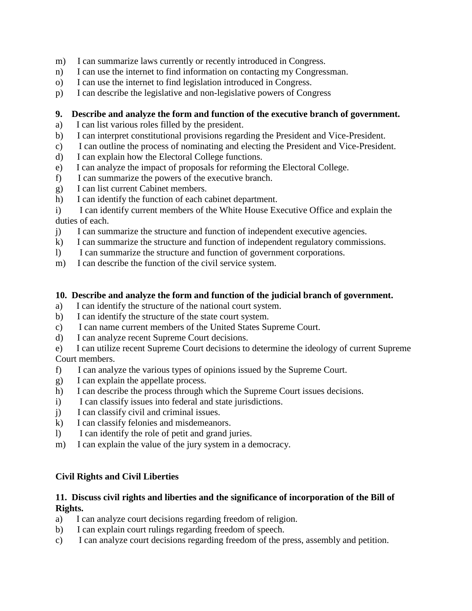- m) I can summarize laws currently or recently introduced in Congress.
- n) I can use the internet to find information on contacting my Congressman.
- o) I can use the internet to find legislation introduced in Congress.
- p) I can describe the legislative and non-legislative powers of Congress

#### **9. Describe and analyze the form and function of the executive branch of government.**

- a) I can list various roles filled by the president.
- b) I can interpret constitutional provisions regarding the President and Vice-President.
- c) I can outline the process of nominating and electing the President and Vice-President.
- d) I can explain how the Electoral College functions.
- e) I can analyze the impact of proposals for reforming the Electoral College.
- f) I can summarize the powers of the executive branch.
- g) I can list current Cabinet members.
- h) I can identify the function of each cabinet department.

i) I can identify current members of the White House Executive Office and explain the duties of each.

- j) I can summarize the structure and function of independent executive agencies.
- k) I can summarize the structure and function of independent regulatory commissions.
- l) I can summarize the structure and function of government corporations.
- m) I can describe the function of the civil service system.

#### **10. Describe and analyze the form and function of the judicial branch of government.**

- a) I can identify the structure of the national court system.
- b) I can identify the structure of the state court system.
- c) I can name current members of the United States Supreme Court.
- d) I can analyze recent Supreme Court decisions.
- e) I can utilize recent Supreme Court decisions to determine the ideology of current Supreme Court members.
- f) I can analyze the various types of opinions issued by the Supreme Court.
- g) I can explain the appellate process.
- h) I can describe the process through which the Supreme Court issues decisions.
- i) I can classify issues into federal and state jurisdictions.
- j) I can classify civil and criminal issues.
- k) I can classify felonies and misdemeanors.
- l) I can identify the role of petit and grand juries.
- m) I can explain the value of the jury system in a democracy.

#### **Civil Rights and Civil Liberties**

#### **11. Discuss civil rights and liberties and the significance of incorporation of the Bill of Rights.**

- a) I can analyze court decisions regarding freedom of religion.
- b) I can explain court rulings regarding freedom of speech.
- c) I can analyze court decisions regarding freedom of the press, assembly and petition.